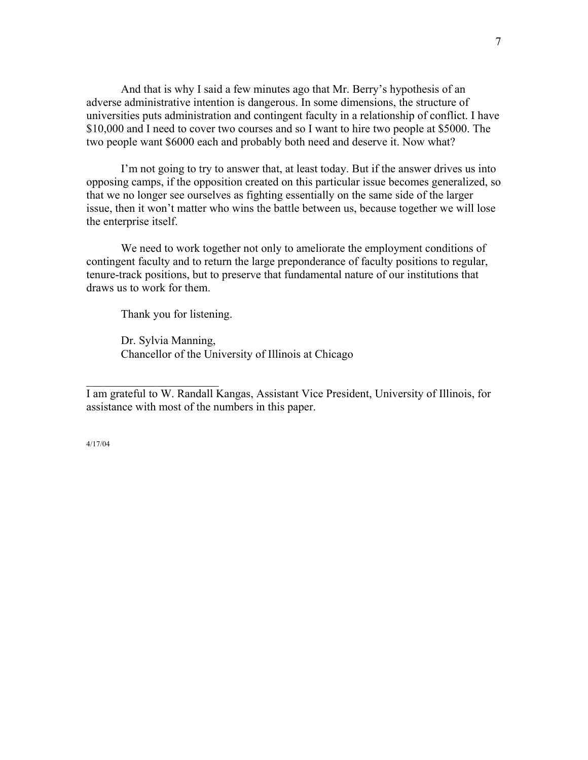And that is why I said a few minutes ago that Mr. Berry's hypothesis of an adverse administrative intention is dangerous. In some dimensions, the structure of universities puts administration and contingent faculty in a relationship of conflict. I have \$10,000 and I need to cover two courses and so I want to hire two people at \$5000. The two people want \$6000 each and probably both need and deserve it. Now what?

I'm not going to try to answer that, at least today. But if the answer drives us into opposing camps, if the opposition created on this particular issue becomes generalized, so that we no longer see ourselves as fighting essentially on the same side of the larger issue, then it won't matter who wins the battle between us, because together we will lose the enterprise itself.

We need to work together not only to ameliorate the employment conditions of contingent faculty and to return the large preponderance of faculty positions to regular, tenure-track positions, but to preserve that fundamental nature of our institutions that draws us to work for them.

Thank you for listening.

 $\mathcal{L}_\text{max}$  , where  $\mathcal{L}_\text{max}$  , we have the set of  $\mathcal{L}_\text{max}$ 

 Dr. Sylvia Manning, Chancellor of the University of Illinois at Chicago

I am grateful to W. Randall Kangas, Assistant Vice President, University of Illinois, for assistance with most of the numbers in this paper.

4/17/04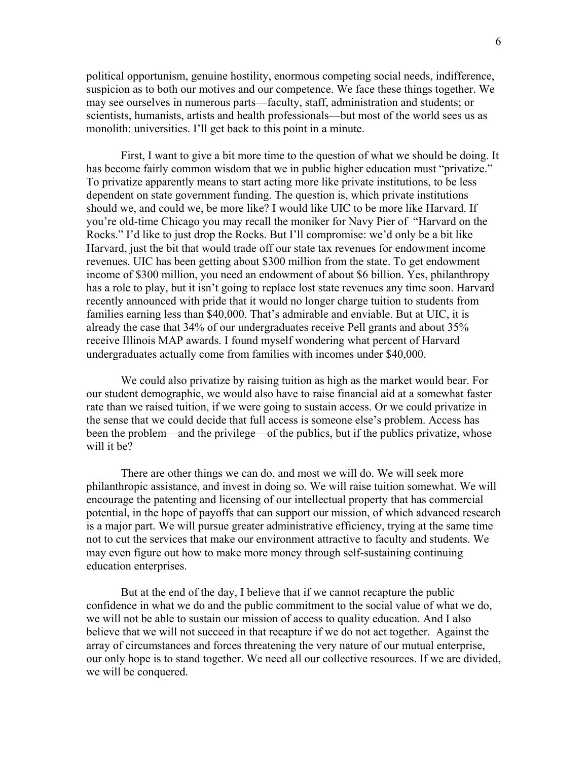political opportunism, genuine hostility, enormous competing social needs, indifference, suspicion as to both our motives and our competence. We face these things together. We may see ourselves in numerous parts—faculty, staff, administration and students; or scientists, humanists, artists and health professionals—but most of the world sees us as monolith: universities. I'll get back to this point in a minute.

First, I want to give a bit more time to the question of what we should be doing. It has become fairly common wisdom that we in public higher education must "privatize." To privatize apparently means to start acting more like private institutions, to be less dependent on state government funding. The question is, which private institutions should we, and could we, be more like? I would like UIC to be more like Harvard. If you're old-time Chicago you may recall the moniker for Navy Pier of "Harvard on the Rocks." I'd like to just drop the Rocks. But I'll compromise: we'd only be a bit like Harvard, just the bit that would trade off our state tax revenues for endowment income revenues. UIC has been getting about \$300 million from the state. To get endowment income of \$300 million, you need an endowment of about \$6 billion. Yes, philanthropy has a role to play, but it isn't going to replace lost state revenues any time soon. Harvard recently announced with pride that it would no longer charge tuition to students from families earning less than \$40,000. That's admirable and enviable. But at UIC, it is already the case that 34% of our undergraduates receive Pell grants and about 35% receive Illinois MAP awards. I found myself wondering what percent of Harvard undergraduates actually come from families with incomes under \$40,000.

We could also privatize by raising tuition as high as the market would bear. For our student demographic, we would also have to raise financial aid at a somewhat faster rate than we raised tuition, if we were going to sustain access. Or we could privatize in the sense that we could decide that full access is someone else's problem. Access has been the problem—and the privilege—of the publics, but if the publics privatize, whose will it be?

There are other things we can do, and most we will do. We will seek more philanthropic assistance, and invest in doing so. We will raise tuition somewhat. We will encourage the patenting and licensing of our intellectual property that has commercial potential, in the hope of payoffs that can support our mission, of which advanced research is a major part. We will pursue greater administrative efficiency, trying at the same time not to cut the services that make our environment attractive to faculty and students. We may even figure out how to make more money through self-sustaining continuing education enterprises.

But at the end of the day, I believe that if we cannot recapture the public confidence in what we do and the public commitment to the social value of what we do, we will not be able to sustain our mission of access to quality education. And I also believe that we will not succeed in that recapture if we do not act together. Against the array of circumstances and forces threatening the very nature of our mutual enterprise, our only hope is to stand together. We need all our collective resources. If we are divided, we will be conquered.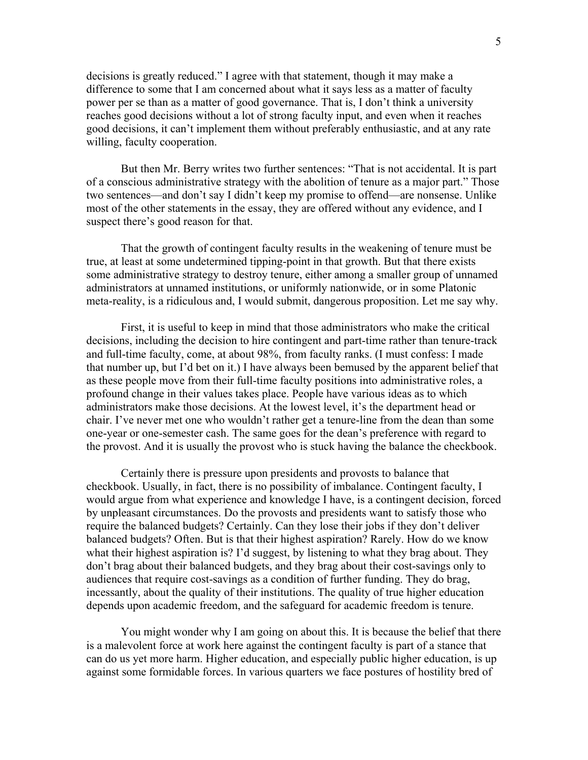decisions is greatly reduced." I agree with that statement, though it may make a difference to some that I am concerned about what it says less as a matter of faculty power per se than as a matter of good governance. That is, I don't think a university reaches good decisions without a lot of strong faculty input, and even when it reaches good decisions, it can't implement them without preferably enthusiastic, and at any rate willing, faculty cooperation.

But then Mr. Berry writes two further sentences: "That is not accidental. It is part of a conscious administrative strategy with the abolition of tenure as a major part." Those two sentences—and don't say I didn't keep my promise to offend—are nonsense. Unlike most of the other statements in the essay, they are offered without any evidence, and I suspect there's good reason for that.

That the growth of contingent faculty results in the weakening of tenure must be true, at least at some undetermined tipping-point in that growth. But that there exists some administrative strategy to destroy tenure, either among a smaller group of unnamed administrators at unnamed institutions, or uniformly nationwide, or in some Platonic meta-reality, is a ridiculous and, I would submit, dangerous proposition. Let me say why.

First, it is useful to keep in mind that those administrators who make the critical decisions, including the decision to hire contingent and part-time rather than tenure-track and full-time faculty, come, at about 98%, from faculty ranks. (I must confess: I made that number up, but I'd bet on it.) I have always been bemused by the apparent belief that as these people move from their full-time faculty positions into administrative roles, a profound change in their values takes place. People have various ideas as to which administrators make those decisions. At the lowest level, it's the department head or chair. I've never met one who wouldn't rather get a tenure-line from the dean than some one-year or one-semester cash. The same goes for the dean's preference with regard to the provost. And it is usually the provost who is stuck having the balance the checkbook.

Certainly there is pressure upon presidents and provosts to balance that checkbook. Usually, in fact, there is no possibility of imbalance. Contingent faculty, I would argue from what experience and knowledge I have, is a contingent decision, forced by unpleasant circumstances. Do the provosts and presidents want to satisfy those who require the balanced budgets? Certainly. Can they lose their jobs if they don't deliver balanced budgets? Often. But is that their highest aspiration? Rarely. How do we know what their highest aspiration is? I'd suggest, by listening to what they brag about. They don't brag about their balanced budgets, and they brag about their cost-savings only to audiences that require cost-savings as a condition of further funding. They do brag, incessantly, about the quality of their institutions. The quality of true higher education depends upon academic freedom, and the safeguard for academic freedom is tenure.

You might wonder why I am going on about this. It is because the belief that there is a malevolent force at work here against the contingent faculty is part of a stance that can do us yet more harm. Higher education, and especially public higher education, is up against some formidable forces. In various quarters we face postures of hostility bred of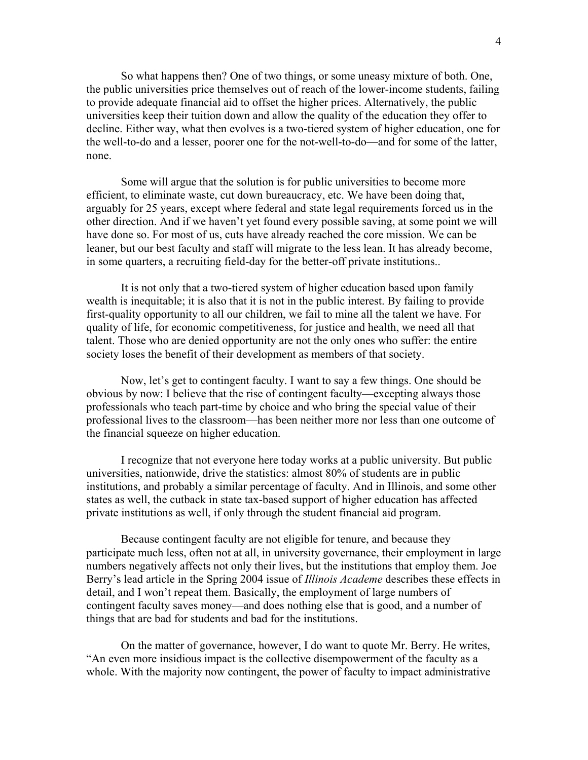So what happens then? One of two things, or some uneasy mixture of both. One, the public universities price themselves out of reach of the lower-income students, failing to provide adequate financial aid to offset the higher prices. Alternatively, the public universities keep their tuition down and allow the quality of the education they offer to decline. Either way, what then evolves is a two-tiered system of higher education, one for the well-to-do and a lesser, poorer one for the not-well-to-do—and for some of the latter, none.

Some will argue that the solution is for public universities to become more efficient, to eliminate waste, cut down bureaucracy, etc. We have been doing that, arguably for 25 years, except where federal and state legal requirements forced us in the other direction. And if we haven't yet found every possible saving, at some point we will have done so. For most of us, cuts have already reached the core mission. We can be leaner, but our best faculty and staff will migrate to the less lean. It has already become, in some quarters, a recruiting field-day for the better-off private institutions..

It is not only that a two-tiered system of higher education based upon family wealth is inequitable; it is also that it is not in the public interest. By failing to provide first-quality opportunity to all our children, we fail to mine all the talent we have. For quality of life, for economic competitiveness, for justice and health, we need all that talent. Those who are denied opportunity are not the only ones who suffer: the entire society loses the benefit of their development as members of that society.

Now, let's get to contingent faculty. I want to say a few things. One should be obvious by now: I believe that the rise of contingent faculty—excepting always those professionals who teach part-time by choice and who bring the special value of their professional lives to the classroom—has been neither more nor less than one outcome of the financial squeeze on higher education.

I recognize that not everyone here today works at a public university. But public universities, nationwide, drive the statistics: almost 80% of students are in public institutions, and probably a similar percentage of faculty. And in Illinois, and some other states as well, the cutback in state tax-based support of higher education has affected private institutions as well, if only through the student financial aid program.

Because contingent faculty are not eligible for tenure, and because they participate much less, often not at all, in university governance, their employment in large numbers negatively affects not only their lives, but the institutions that employ them. Joe Berry's lead article in the Spring 2004 issue of *Illinois Academe* describes these effects in detail, and I won't repeat them. Basically, the employment of large numbers of contingent faculty saves money—and does nothing else that is good, and a number of things that are bad for students and bad for the institutions.

On the matter of governance, however, I do want to quote Mr. Berry. He writes, "An even more insidious impact is the collective disempowerment of the faculty as a whole. With the majority now contingent, the power of faculty to impact administrative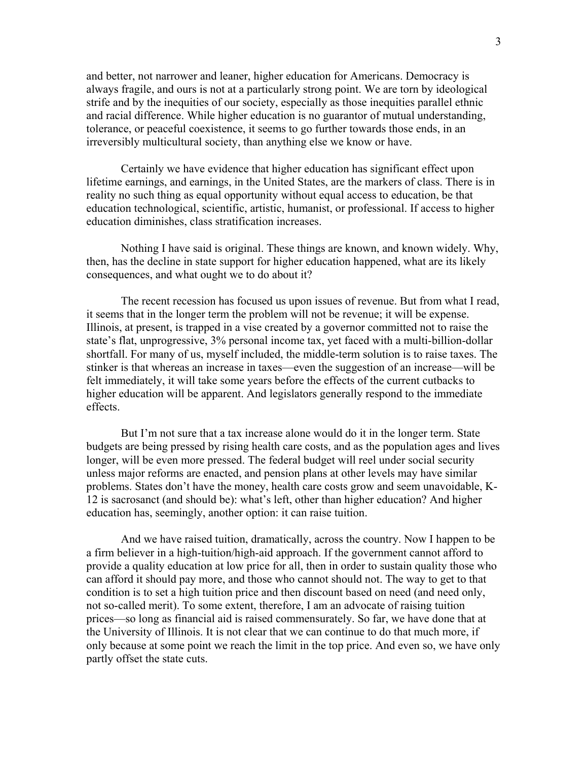and better, not narrower and leaner, higher education for Americans. Democracy is always fragile, and ours is not at a particularly strong point. We are torn by ideological strife and by the inequities of our society, especially as those inequities parallel ethnic and racial difference. While higher education is no guarantor of mutual understanding, tolerance, or peaceful coexistence, it seems to go further towards those ends, in an irreversibly multicultural society, than anything else we know or have.

 Certainly we have evidence that higher education has significant effect upon lifetime earnings, and earnings, in the United States, are the markers of class. There is in reality no such thing as equal opportunity without equal access to education, be that education technological, scientific, artistic, humanist, or professional. If access to higher education diminishes, class stratification increases.

 Nothing I have said is original. These things are known, and known widely. Why, then, has the decline in state support for higher education happened, what are its likely consequences, and what ought we to do about it?

The recent recession has focused us upon issues of revenue. But from what I read, it seems that in the longer term the problem will not be revenue; it will be expense. Illinois, at present, is trapped in a vise created by a governor committed not to raise the state's flat, unprogressive, 3% personal income tax, yet faced with a multi-billion-dollar shortfall. For many of us, myself included, the middle-term solution is to raise taxes. The stinker is that whereas an increase in taxes—even the suggestion of an increase—will be felt immediately, it will take some years before the effects of the current cutbacks to higher education will be apparent. And legislators generally respond to the immediate effects.

But I'm not sure that a tax increase alone would do it in the longer term. State budgets are being pressed by rising health care costs, and as the population ages and lives longer, will be even more pressed. The federal budget will reel under social security unless major reforms are enacted, and pension plans at other levels may have similar problems. States don't have the money, health care costs grow and seem unavoidable, K-12 is sacrosanct (and should be): what's left, other than higher education? And higher education has, seemingly, another option: it can raise tuition.

And we have raised tuition, dramatically, across the country. Now I happen to be a firm believer in a high-tuition/high-aid approach. If the government cannot afford to provide a quality education at low price for all, then in order to sustain quality those who can afford it should pay more, and those who cannot should not. The way to get to that condition is to set a high tuition price and then discount based on need (and need only, not so-called merit). To some extent, therefore, I am an advocate of raising tuition prices—so long as financial aid is raised commensurately. So far, we have done that at the University of Illinois. It is not clear that we can continue to do that much more, if only because at some point we reach the limit in the top price. And even so, we have only partly offset the state cuts.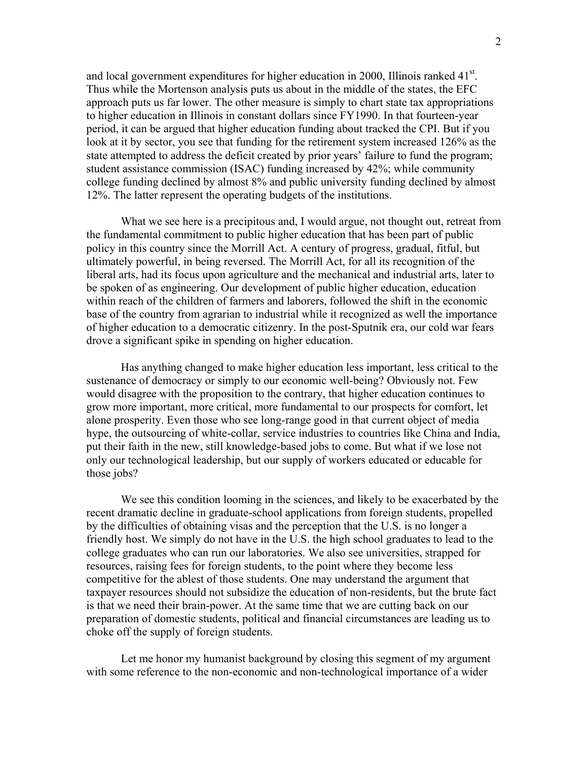and local government expenditures for higher education in 2000, Illinois ranked  $41<sup>st</sup>$ . Thus while the Mortenson analysis puts us about in the middle of the states, the EFC approach puts us far lower. The other measure is simply to chart state tax appropriations to higher education in Illinois in constant dollars since FY1990. In that fourteen-year period, it can be argued that higher education funding about tracked the CPI. But if you look at it by sector, you see that funding for the retirement system increased 126% as the state attempted to address the deficit created by prior years' failure to fund the program; student assistance commission (ISAC) funding increased by 42%; while community college funding declined by almost 8% and public university funding declined by almost 12%. The latter represent the operating budgets of the institutions.

 What we see here is a precipitous and, I would argue, not thought out, retreat from the fundamental commitment to public higher education that has been part of public policy in this country since the Morrill Act. A century of progress, gradual, fitful, but ultimately powerful, in being reversed. The Morrill Act, for all its recognition of the liberal arts, had its focus upon agriculture and the mechanical and industrial arts, later to be spoken of as engineering. Our development of public higher education, education within reach of the children of farmers and laborers, followed the shift in the economic base of the country from agrarian to industrial while it recognized as well the importance of higher education to a democratic citizenry. In the post-Sputnik era, our cold war fears drove a significant spike in spending on higher education.

 Has anything changed to make higher education less important, less critical to the sustenance of democracy or simply to our economic well-being? Obviously not. Few would disagree with the proposition to the contrary, that higher education continues to grow more important, more critical, more fundamental to our prospects for comfort, let alone prosperity. Even those who see long-range good in that current object of media hype, the outsourcing of white-collar, service industries to countries like China and India, put their faith in the new, still knowledge-based jobs to come. But what if we lose not only our technological leadership, but our supply of workers educated or educable for those jobs?

 We see this condition looming in the sciences, and likely to be exacerbated by the recent dramatic decline in graduate-school applications from foreign students, propelled by the difficulties of obtaining visas and the perception that the U.S. is no longer a friendly host. We simply do not have in the U.S. the high school graduates to lead to the college graduates who can run our laboratories. We also see universities, strapped for resources, raising fees for foreign students, to the point where they become less competitive for the ablest of those students. One may understand the argument that taxpayer resources should not subsidize the education of non-residents, but the brute fact is that we need their brain-power. At the same time that we are cutting back on our preparation of domestic students, political and financial circumstances are leading us to choke off the supply of foreign students.

 Let me honor my humanist background by closing this segment of my argument with some reference to the non-economic and non-technological importance of a wider